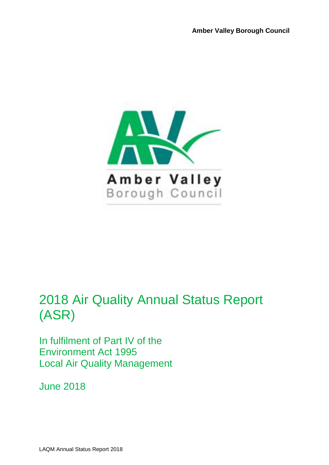

# 2018 Air Quality Annual Status Report (ASR)

In fulfilment of Part IV of the Environment Act 1995 Local Air Quality Management

June 2018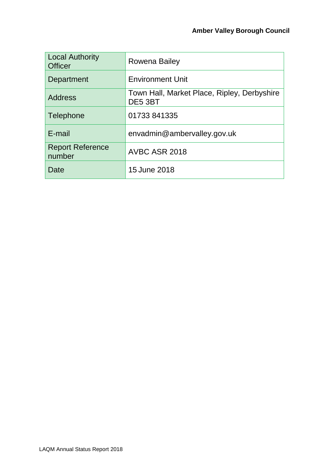| <b>Local Authority</b><br><b>Officer</b> | Rowena Bailey                                          |
|------------------------------------------|--------------------------------------------------------|
| Department                               | <b>Environment Unit</b>                                |
| <b>Address</b>                           | Town Hall, Market Place, Ripley, Derbyshire<br>DE5 3BT |
| Telephone                                | 01733 841335                                           |
| E-mail                                   | envadmin@ambervalley.gov.uk                            |
| <b>Report Reference</b><br>number        | AVBC ASR 2018                                          |
| Date                                     | 15 June 2018                                           |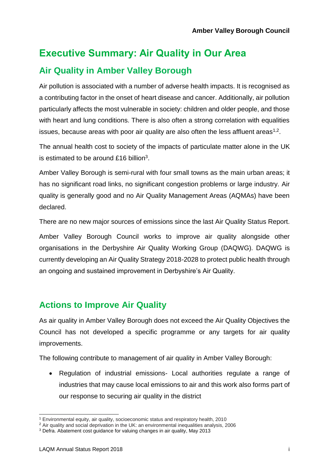## **Executive Summary: Air Quality in Our Area Air Quality in Amber Valley Borough**

Air pollution is associated with a number of adverse health impacts. It is recognised as a contributing factor in the onset of heart disease and cancer. Additionally, air pollution particularly affects the most vulnerable in society: children and older people, and those with heart and lung conditions. There is also often a strong correlation with equalities issues, because areas with poor air quality are also often the less affluent areas<sup>1,2</sup>.

The annual health cost to society of the impacts of particulate matter alone in the UK is estimated to be around £16 billion<sup>3</sup>.

Amber Valley Borough is semi-rural with four small towns as the main urban areas; it has no significant road links, no significant congestion problems or large industry. Air quality is generally good and no Air Quality Management Areas (AQMAs) have been declared.

There are no new major sources of emissions since the last Air Quality Status Report.

Amber Valley Borough Council works to improve air quality alongside other organisations in the Derbyshire Air Quality Working Group (DAQWG). DAQWG is currently developing an Air Quality Strategy 2018-2028 to protect public health through an ongoing and sustained improvement in Derbyshire's Air Quality.

#### **Actions to Improve Air Quality**

As air quality in Amber Valley Borough does not exceed the Air Quality Objectives the Council has not developed a specific programme or any targets for air quality improvements.

The following contribute to management of air quality in Amber Valley Borough:

• Regulation of industrial emissions- Local authorities regulate a range of industries that may cause local emissions to air and this work also forms part of our response to securing air quality in the district

l <sup>1</sup> Environmental equity, air quality, socioeconomic status and respiratory health, 2010

<sup>2</sup> Air quality and social deprivation in the UK: an environmental inequalities analysis, 2006

<sup>3</sup> Defra. Abatement cost guidance for valuing changes in air quality, May 2013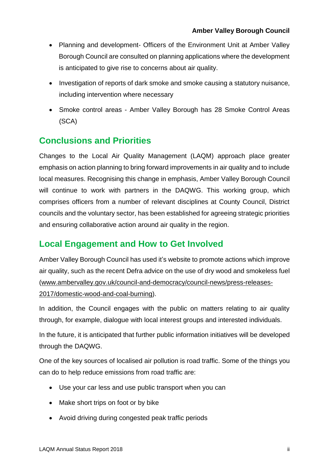- Planning and development- Officers of the Environment Unit at Amber Valley Borough Council are consulted on planning applications where the development is anticipated to give rise to concerns about air quality.
- Investigation of reports of dark smoke and smoke causing a statutory nuisance, including intervention where necessary
- Smoke control areas Amber Valley Borough has 28 Smoke Control Areas (SCA)

#### **Conclusions and Priorities**

Changes to the Local Air Quality Management (LAQM) approach place greater emphasis on action planning to bring forward improvements in air quality and to include local measures. Recognising this change in emphasis, Amber Valley Borough Council will continue to work with partners in the DAQWG. This working group, which comprises officers from a number of relevant disciplines at County Council, District councils and the voluntary sector, has been established for agreeing strategic priorities and ensuring collaborative action around air quality in the region.

#### **Local Engagement and How to Get Involved**

Amber Valley Borough Council has used it's website to promote actions which improve air quality, such as the recent Defra advice on the use of dry wood and smokeless fuel [\(www.ambervalley.gov.uk/council-and-democracy/council-news/press-releases-](http://www.ambervalley.gov.uk/council-and-democracy/council-news/press-releases-2017/domestic-wood-and-coal-burning)[2017/domestic-wood-and-coal-burning\)](http://www.ambervalley.gov.uk/council-and-democracy/council-news/press-releases-2017/domestic-wood-and-coal-burning).

In addition, the Council engages with the public on matters relating to air quality through, for example, dialogue with local interest groups and interested individuals.

In the future, it is anticipated that further public information initiatives will be developed through the DAQWG.

One of the key sources of localised air pollution is road traffic. Some of the things you can do to help reduce emissions from road traffic are:

- Use your car less and use public transport when you can
- Make short trips on foot or by bike
- Avoid driving during congested peak traffic periods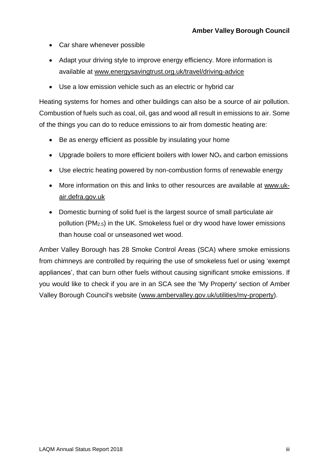- Car share whenever possible
- Adapt your driving style to improve energy efficiency. More information is available at [www.energysavingtrust.org.uk/travel/driving-advice](http://www.energysavingtrust.org.uk/travel/driving-advice)
- Use a low emission vehicle such as an electric or hybrid car

Heating systems for homes and other buildings can also be a source of air pollution. Combustion of fuels such as coal, oil, gas and wood all result in emissions to air. Some of the things you can do to reduce emissions to air from domestic heating are:

- Be as energy efficient as possible by insulating your home
- Upgrade boilers to more efficient boilers with lower  $NO<sub>x</sub>$  and carbon emissions
- Use electric heating powered by non-combustion forms of renewable energy
- More information on this and links to other resources are available at [www.uk](https://uk-air.defra.gov.uk/)[air.defra.gov.uk](https://uk-air.defra.gov.uk/)
- Domestic burning of solid fuel is the largest source of small particulate air pollution (PM2.5) in the UK. Smokeless fuel or dry wood have lower emissions than house coal or unseasoned wet wood.

Amber Valley Borough has 28 Smoke Control Areas (SCA) where smoke emissions from chimneys are controlled by requiring the use of smokeless fuel or using 'exempt appliances', that can burn other fuels without causing significant smoke emissions. If you would like to check if you are in an SCA see the 'My Property' section of Amber Valley Borough Council's website [\(www.ambervalley.gov.uk/utilities/my-property\)](http://www.ambervalley.gov.uk/utilities/my-property).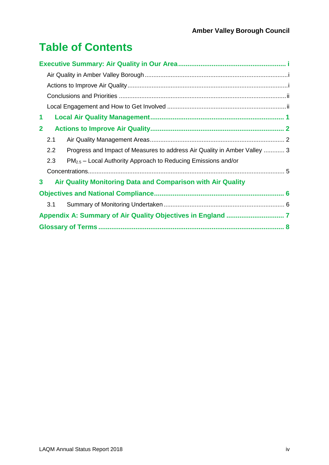## **Table of Contents**

| 1            |                                                             |                                                                           |  |  |
|--------------|-------------------------------------------------------------|---------------------------------------------------------------------------|--|--|
| $\mathbf{2}$ |                                                             |                                                                           |  |  |
|              | 2.1                                                         |                                                                           |  |  |
|              | 2.2                                                         | Progress and Impact of Measures to address Air Quality in Amber Valley  3 |  |  |
|              | 2.3                                                         | $PM_{2.5}$ – Local Authority Approach to Reducing Emissions and/or        |  |  |
|              |                                                             |                                                                           |  |  |
| 3            | Air Quality Monitoring Data and Comparison with Air Quality |                                                                           |  |  |
|              |                                                             |                                                                           |  |  |
|              | 3.1                                                         |                                                                           |  |  |
|              |                                                             |                                                                           |  |  |
|              |                                                             |                                                                           |  |  |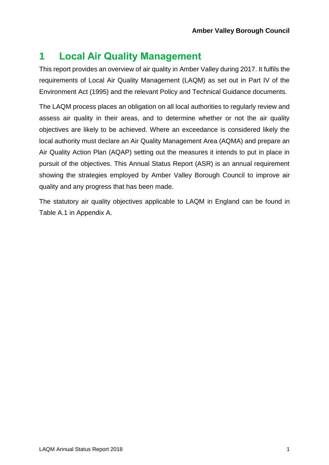### **1 Local Air Quality Management**

This report provides an overview of air quality in Amber Valley during 2017. It fulfils the requirements of Local Air Quality Management (LAQM) as set out in Part IV of the Environment Act (1995) and the relevant Policy and Technical Guidance documents.

The LAQM process places an obligation on all local authorities to regularly review and assess air quality in their areas, and to determine whether or not the air quality objectives are likely to be achieved. Where an exceedance is considered likely the local authority must declare an Air Quality Management Area (AQMA) and prepare an Air Quality Action Plan (AQAP) setting out the measures it intends to put in place in pursuit of the objectives. This Annual Status Report (ASR) is an annual requirement showing the strategies employed by Amber Valley Borough Council to improve air quality and any progress that has been made.

The statutory air quality objectives applicable to LAQM in England can be found in [Table A.1](#page-12-0) in Appendix A.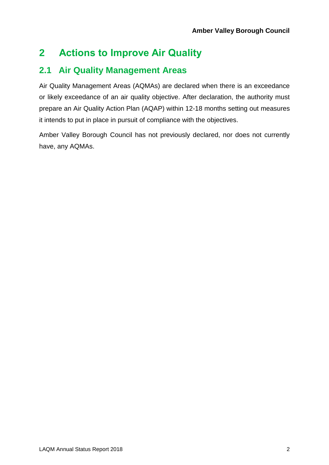### **2 Actions to Improve Air Quality**

#### **2.1 Air Quality Management Areas**

Air Quality Management Areas (AQMAs) are declared when there is an exceedance or likely exceedance of an air quality objective. After declaration, the authority must prepare an Air Quality Action Plan (AQAP) within 12-18 months setting out measures it intends to put in place in pursuit of compliance with the objectives.

Amber Valley Borough Council has not previously declared, nor does not currently have, any AQMAs.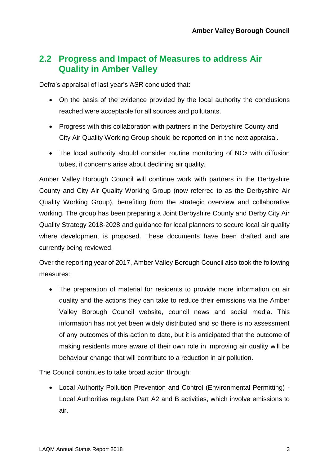#### **2.2 Progress and Impact of Measures to address Air Quality in Amber Valley**

Defra's appraisal of last year's ASR concluded that:

- On the basis of the evidence provided by the local authority the conclusions reached were acceptable for all sources and pollutants.
- Progress with this collaboration with partners in the Derbyshire County and City Air Quality Working Group should be reported on in the next appraisal.
- The local authority should consider routine monitoring of  $NO<sub>2</sub>$  with diffusion tubes, if concerns arise about declining air quality.

Amber Valley Borough Council will continue work with partners in the Derbyshire County and City Air Quality Working Group (now referred to as the Derbyshire Air Quality Working Group), benefiting from the strategic overview and collaborative working. The group has been preparing a Joint Derbyshire County and Derby City Air Quality Strategy 2018-2028 and guidance for local planners to secure local air quality where development is proposed. These documents have been drafted and are currently being reviewed.

Over the reporting year of 2017, Amber Valley Borough Council also took the following measures:

• The preparation of material for residents to provide more information on air quality and the actions they can take to reduce their emissions via the Amber Valley Borough Council website, council news and social media. This information has not yet been widely distributed and so there is no assessment of any outcomes of this action to date, but it is anticipated that the outcome of making residents more aware of their own role in improving air quality will be behaviour change that will contribute to a reduction in air pollution.

The Council continues to take broad action through:

• Local Authority Pollution Prevention and Control (Environmental Permitting) - Local Authorities regulate Part A2 and B activities, which involve emissions to air.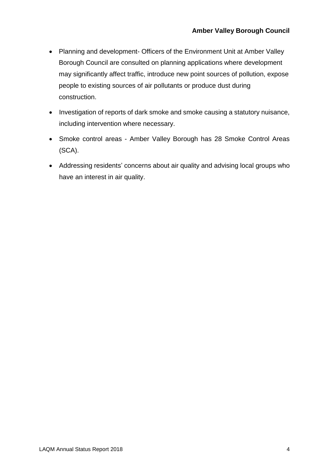- Planning and development- Officers of the Environment Unit at Amber Valley Borough Council are consulted on planning applications where development may significantly affect traffic, introduce new point sources of pollution, expose people to existing sources of air pollutants or produce dust during construction.
- Investigation of reports of dark smoke and smoke causing a statutory nuisance, including intervention where necessary.
- Smoke control areas Amber Valley Borough has 28 Smoke Control Areas (SCA).
- Addressing residents' concerns about air quality and advising local groups who have an interest in air quality.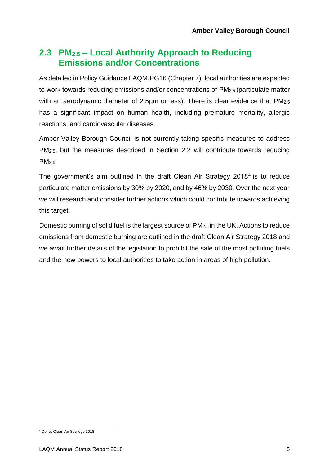#### **2.3 PM2.5 – Local Authority Approach to Reducing Emissions and/or Concentrations**

As detailed in Policy Guidance LAQM.PG16 (Chapter 7), local authorities are expected to work towards reducing emissions and/or concentrations of PM2.5 (particulate matter with an aerodynamic diameter of 2.5µm or less). There is clear evidence that PM<sub>2.5</sub> has a significant impact on human health, including premature mortality, allergic reactions, and cardiovascular diseases.

Amber Valley Borough Council is not currently taking specific measures to address PM2.5, but the measures described in Section 2.2 will contribute towards reducing  $PM<sub>2.5</sub>$ 

The government's aim outlined in the draft Clean Air Strategy 2018<sup>4</sup> is to reduce particulate matter emissions by 30% by 2020, and by 46% by 2030. Over the next year we will research and consider further actions which could contribute towards achieving this target.

Domestic burning of solid fuel is the largest source of PM2.5 in the UK. Actions to reduce emissions from domestic burning are outlined in the draft Clean Air Strategy 2018 and we await further details of the legislation to prohibit the sale of the most polluting fuels and the new powers to local authorities to take action in areas of high pollution.

l <sup>4</sup> Defra. Clean Air Strategy 2018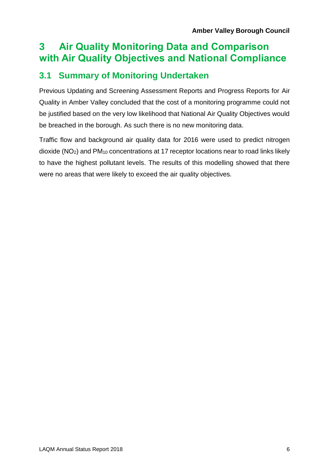## **3 Air Quality Monitoring Data and Comparison with Air Quality Objectives and National Compliance**

### **3.1 Summary of Monitoring Undertaken**

Previous Updating and Screening Assessment Reports and Progress Reports for Air Quality in Amber Valley concluded that the cost of a monitoring programme could not be justified based on the very low likelihood that National Air Quality Objectives would be breached in the borough. As such there is no new monitoring data.

Traffic flow and background air quality data for 2016 were used to predict nitrogen dioxide (NO2) and PM<sup>10</sup> concentrations at 17 receptor locations near to road links likely to have the highest pollutant levels. The results of this modelling showed that there were no areas that were likely to exceed the air quality objectives*.*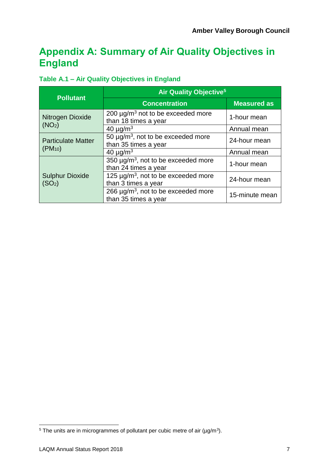## **Appendix A: Summary of Air Quality Objectives in England**

#### <span id="page-12-0"></span>**Table A.1 – Air Quality Objectives in England**

|                                              | Air Quality Objective <sup>5</sup>                                           |                    |  |
|----------------------------------------------|------------------------------------------------------------------------------|--------------------|--|
| <b>Pollutant</b>                             | <b>Concentration</b>                                                         | <b>Measured as</b> |  |
| Nitrogen Dioxide                             | 200 $\mu$ g/m <sup>3</sup> not to be exceeded more<br>than 18 times a year   | 1-hour mean        |  |
| (NO <sub>2</sub> )                           | 40 $\mu$ g/m <sup>3</sup>                                                    | Annual mean        |  |
| <b>Particulate Matter</b>                    | 50 $\mu$ g/m <sup>3</sup> , not to be exceeded more<br>than 35 times a year  | 24-hour mean       |  |
| $(PM_{10})$                                  | 40 $\mu$ g/m <sup>3</sup>                                                    | Annual mean        |  |
|                                              | 350 µg/m <sup>3</sup> , not to be exceeded more<br>than 24 times a year      | 1-hour mean        |  |
| <b>Sulphur Dioxide</b><br>(SO <sub>2</sub> ) | 125 $\mu$ g/m <sup>3</sup> , not to be exceeded more<br>than 3 times a year  | 24-hour mean       |  |
|                                              | 266 $\mu$ g/m <sup>3</sup> , not to be exceeded more<br>than 35 times a year | 15-minute mean     |  |

l

<sup>&</sup>lt;sup>5</sup> The units are in microgrammes of pollutant per cubic metre of air ( $\mu$ g/m<sup>3</sup>).